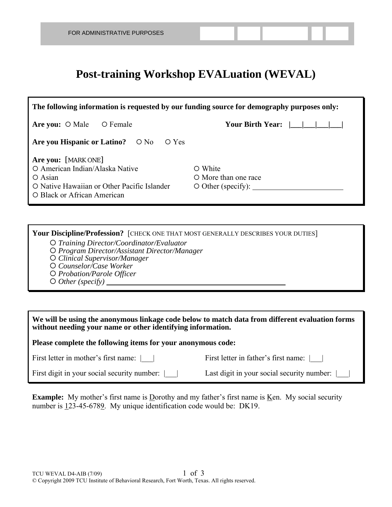## **Post-training Workshop EVALuation (WEVAL)**

| The following information is requested by our funding source for demography purposes only:                                                            |                                                             |  |  |  |  |  |  |  |
|-------------------------------------------------------------------------------------------------------------------------------------------------------|-------------------------------------------------------------|--|--|--|--|--|--|--|
| Are you: $\circ$ Male<br>O Female                                                                                                                     | Your Birth Year:                                            |  |  |  |  |  |  |  |
| Are you Hispanic or Latino? $\circ$ No $\circ$ Yes                                                                                                    |                                                             |  |  |  |  |  |  |  |
| Are you: [MARK ONE]<br>O American Indian/Alaska Native<br>$\circ$ Asian<br>O Native Hawaiian or Other Pacific Islander<br>O Black or African American | O White<br>O More than one race<br>$\circ$ Other (specify): |  |  |  |  |  |  |  |

**Your Discipline/Profession?** [CHECK ONE THAT MOST GENERALLY DESCRIBES YOUR DUTIES] *Training Director/Coordinator/Evaluator* 

- 
- *Program Director/Assistant Director/Manager*
- *Clinical Supervisor/Manager*
- *Counselor/Case Worker*
- *Probation/Parole Officer*
- *Other (specify)*

| We will be using the anonymous linkage code below to match data from different evaluation forms |  |
|-------------------------------------------------------------------------------------------------|--|
| without needing your name or other identifying information.                                     |  |

**Please complete the following items for your anonymous code:** 

First letter in mother's first name: |\_\_| First letter in father's first name: |\_\_|

First digit in your social security number: | | Last digit in your social security number:

**Example:** My mother's first name is Dorothy and my father's first name is Ken. My social security number is 123-45-6789. My unique identification code would be: DK19.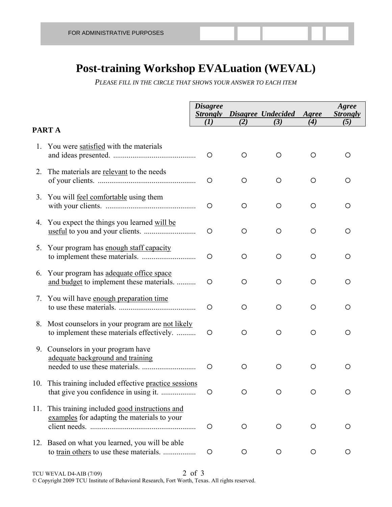## **Post-training Workshop EVALuation (WEVAL)**

*PLEASE FILL IN THE CIRCLE THAT SHOWS YOUR ANSWER TO EACH ITEM*

|    |                                                                                                 | <b>Disagree</b><br><b>Strongly</b><br>(I) | (2)     | Disagree Undecided Agree<br>(3) | (4) | Agree<br><b>Strongly</b><br>(5) |
|----|-------------------------------------------------------------------------------------------------|-------------------------------------------|---------|---------------------------------|-----|---------------------------------|
|    | PART A                                                                                          |                                           |         |                                 |     |                                 |
| 1. | You were satisfied with the materials                                                           | O                                         | $\circ$ | O                               | O   | ◯                               |
|    | 2. The materials are relevant to the needs                                                      | O                                         | O       | O                               | O   | O                               |
|    | 3. You will feel comfortable using them                                                         | $\circ$                                   | O       | O                               | O   | O                               |
|    | 4. You expect the things you learned will be                                                    | $\circ$                                   | $\circ$ | $\circ$                         | O   | O                               |
|    | 5. Your program has enough staff capacity                                                       | $\circ$                                   | O       | O                               | O   | O                               |
|    | 6. Your program has adequate office space<br>and budget to implement these materials.           | $\circ$                                   | $\circ$ | O                               | O   | O                               |
|    | 7. You will have enough preparation time                                                        | O                                         | $\circ$ | O                               | O   | O                               |
|    | 8. Most counselors in your program are not likely<br>to implement these materials effectively.  | $\circ$                                   | O       | O                               | O   | $\circ$                         |
|    | 9. Counselors in your program have<br>adequate background and training                          | O                                         | O       | O                               | O   | O                               |
|    | 10. This training included effective practice sessions                                          | O                                         | O       | $\circ$                         | O   | O                               |
|    | 11. This training included good instructions and<br>examples for adapting the materials to your | $\circ$                                   | O       | O                               | O   | O                               |
|    | 12. Based on what you learned, you will be able<br>to train others to use these materials.      | O                                         | O       | O                               | O   | $\circ$                         |

TCU WEVAL D4-AIB (7/09) 2 of 3 © Copyright 2009 TCU Institute of Behavioral Research, Fort Worth, Texas. All rights reserved.